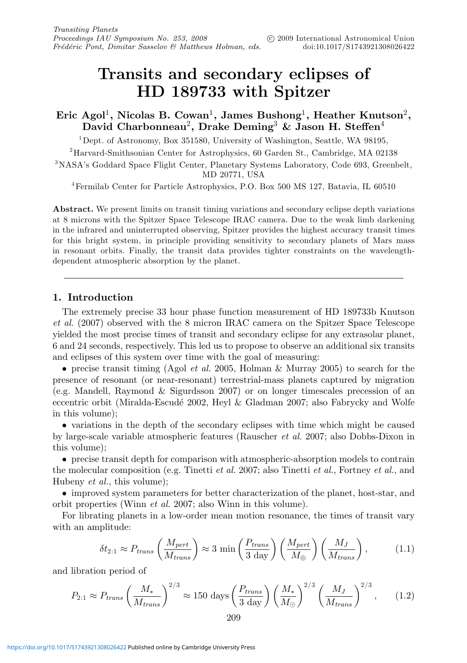# **Transits and secondary eclipses of HD 189733 with Spitzer**

**Eric Agol**1**, Nicolas B. Cowan**1**, James Bushong**1**, Heather Knutson**2**, David Charbonneau**2**, Drake Deming**<sup>3</sup> **& Jason H. Steffen**<sup>4</sup>

 $1$ Dept. of Astronomy, Box 351580, University of Washington, Seattle, WA 98195,

2Harvard-Smithsonian Center for Astrophysics, 60 Garden St., Cambridge, MA 02138

3NASA's Goddard Space Flight Center, Planetary Systems Laboratory, Code 693, Greenbelt, MD 20771, USA

4Fermilab Center for Particle Astrophysics, P.O. Box 500 MS 127, Batavia, IL 60510

**Abstract.** We present limits on transit timing variations and secondary eclipse depth variations at 8 microns with the Spitzer Space Telescope IRAC camera. Due to the weak limb darkening in the infrared and uninterrupted observing, Spitzer provides the highest accuracy transit times for this bright system, in principle providing sensitivity to secondary planets of Mars mass in resonant orbits. Finally, the transit data provides tighter constraints on the wavelengthdependent atmospheric absorption by the planet.

## **1. Introduction**

The extremely precise 33 hour phase function measurement of HD 189733b Knutson et al. (2007) observed with the 8 micron IRAC camera on the Spitzer Space Telescope yielded the most precise times of transit and secondary eclipse for any extrasolar planet, 6 and 24 seconds, respectively. This led us to propose to observe an additional six transits and eclipses of this system over time with the goal of measuring:

• precise transit timing (Agol *et al.* 2005, Holman & Murray 2005) to search for the presence of resonant (or near-resonant) terrestrial-mass planets captured by migration (e.g. Mandell, Raymond & Sigurdsson 2007) or on longer timescales precession of an eccentric orbit (Miralda-Escudé 2002, Heyl & Gladman 2007; also Fabrycky and Wolfe in this volume);

• variations in the depth of the secondary eclipses with time which might be caused by large-scale variable atmospheric features (Rauscher et al. 2007; also Dobbs-Dixon in this volume);

• precise transit depth for comparison with atmospheric-absorption models to contrain the molecular composition (e.g. Tinetti *et al.* 2007; also Tinetti *et al.*, Fortney *et al.*, and Hubeny et al., this volume);

• improved system parameters for better characterization of the planet, host-star, and orbit properties (Winn et al. 2007; also Winn in this volume).

For librating planets in a low-order mean motion resonance, the times of transit vary with an amplitude:

$$
\delta t_{2:1} \approx P_{trans} \left( \frac{M_{pert}}{M_{trans}} \right) \approx 3 \min \left( \frac{P_{trans}}{3 \text{ day}} \right) \left( \frac{M_{pert}}{M_{\oplus}} \right) \left( \frac{M_J}{M_{trans}} \right), \tag{1.1}
$$

and libration period of

$$
P_{2:1} \approx P_{trans} \left(\frac{M_*}{M_{trans}}\right)^{2/3} \approx 150 \text{ days} \left(\frac{P_{trans}}{3 \text{ day}}\right) \left(\frac{M_*}{M_{\odot}}\right)^{2/3} \left(\frac{M_J}{M_{trans}}\right)^{2/3},\qquad(1.2)
$$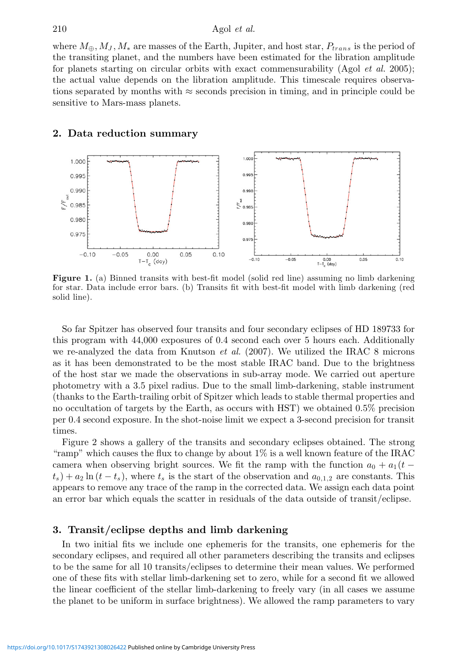where  $M_{\oplus}$ ,  $M_J$ ,  $M_*$  are masses of the Earth, Jupiter, and host star,  $P_{trans}$  is the period of the transiting planet, and the numbers have been estimated for the libration amplitude for planets starting on circular orbits with exact commensurability  $(Agol et al. 2005);$ the actual value depends on the libration amplitude. This timescale requires observations separated by months with  $\approx$  seconds precision in timing, and in principle could be sensitive to Mars-mass planets.

# **2. Data reduction summary**



**Figure 1.** (a) Binned transits with best-fit model (solid red line) assuming no limb darkening for star. Data include error bars. (b) Transits fit with best-fit model with limb darkening (red solid line).

So far Spitzer has observed four transits and four secondary eclipses of HD 189733 for this program with 44,000 exposures of 0.4 second each over 5 hours each. Additionally we re-analyzed the data from Knutson *et al.* (2007). We utilized the IRAC 8 microns as it has been demonstrated to be the most stable IRAC band. Due to the brightness of the host star we made the observations in sub-array mode. We carried out aperture photometry with a 3.5 pixel radius. Due to the small limb-darkening, stable instrument (thanks to the Earth-trailing orbit of Spitzer which leads to stable thermal properties and no occultation of targets by the Earth, as occurs with HST) we obtained 0.5% precision per 0.4 second exposure. In the shot-noise limit we expect a 3-second precision for transit times.

Figure 2 shows a gallery of the transits and secondary eclipses obtained. The strong "ramp" which causes the flux to change by about 1% is a well known feature of the IRAC camera when observing bright sources. We fit the ramp with the function  $a_0 + a_1 (t (t_s) + a_2 \ln(t - t_s)$ , where  $t_s$  is the start of the observation and  $a_{0,1,2}$  are constants. This appears to remove any trace of the ramp in the corrected data. We assign each data point an error bar which equals the scatter in residuals of the data outside of transit/eclipse.

# **3. Transit/eclipse depths and limb darkening**

In two initial fits we include one ephemeris for the transits, one ephemeris for the secondary eclipses, and required all other parameters describing the transits and eclipses to be the same for all 10 transits/eclipses to determine their mean values. We performed one of these fits with stellar limb-darkening set to zero, while for a second fit we allowed the linear coefficient of the stellar limb-darkening to freely vary (in all cases we assume the planet to be uniform in surface brightness). We allowed the ramp parameters to vary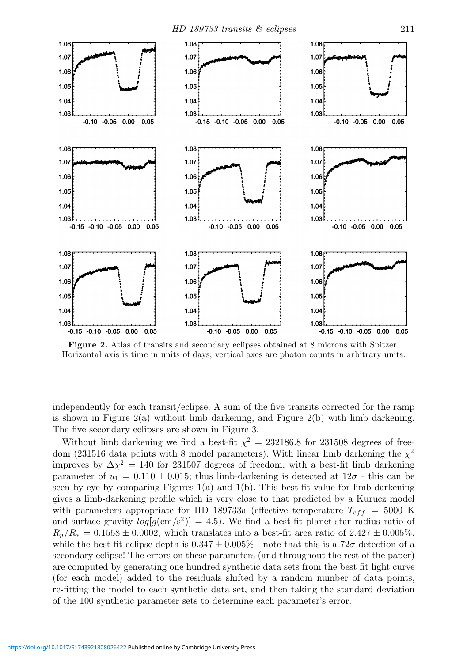

**Figure 2.** Atlas of transits and secondary eclipses obtained at 8 microns with Spitzer. Horizontal axis is time in units of days; vertical axes are photon counts in arbitrary units.

independently for each transit/eclipse. A sum of the five transits corrected for the ramp is shown in Figure  $2(a)$  without limb darkening, and Figure  $2(b)$  with limb darkening. The five secondary eclipses are shown in Figure 3.

Without limb darkening we find a best-fit  $\chi^2 = 232186.8$  for 231508 degrees of freedom (231516 data points with 8 model parameters). With linear limb darkening the  $\chi^2$ improves by  $\Delta \chi^2 = 140$  for 231507 degrees of freedom, with a best-fit limb darkening parameter of  $u_1 = 0.110 \pm 0.015$ ; thus limb-darkening is detected at  $12\sigma$  - this can be seen by eye by comparing Figures  $1(a)$  and  $1(b)$ . This best-fit value for limb-darkening gives a limb-darkening profile which is very close to that predicted by a Kurucz model with parameters appropriate for HD 189733a (effective temperature  $T_{eff}$  = 5000 K and surface gravity  $log[g(\text{cm/s}^2)] = 4.5$ . We find a best-fit planet-star radius ratio of  $R_p/R_* = 0.1558 \pm 0.0002$ , which translates into a best-fit area ratio of 2.427  $\pm$  0.005%, while the best-fit eclipse depth is  $0.347 \pm 0.005\%$  - note that this is a  $72\sigma$  detection of a secondary eclipse! The errors on these parameters (and throughout the rest of the paper) are computed by generating one hundred synthetic data sets from the best fit light curve (for each model) added to the residuals shifted by a random number of data points, re-fitting the model to each synthetic data set, and then taking the standard deviation of the 100 synthetic parameter sets to determine each parameter's error.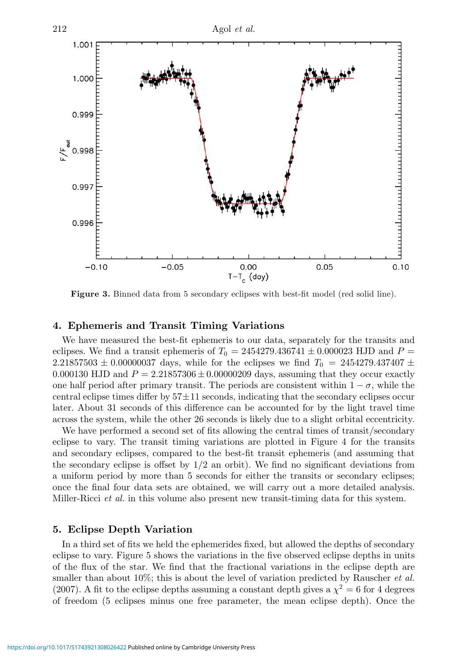

**Figure 3.** Binned data from 5 secondary eclipses with best-fit model (red solid line).

### **4. Ephemeris and Transit Timing Variations**

We have measured the best-fit ephemeris to our data, separately for the transits and eclipses. We find a transit ephemeris of  $T_0 = 2454279.436741 \pm 0.000023$  HJD and  $P =$ 2.21857503 ± 0.00000037 days, while for the eclipses we find T<sup>0</sup> = 2454279.437407 ± 0.000130 HJD and  $P = 2.21857306 \pm 0.00000209$  days, assuming that they occur exactly one half period after primary transit. The periods are consistent within  $1 - \sigma$ , while the central eclipse times differ by  $57 \pm 11$  seconds, indicating that the secondary eclipses occur later. About 31 seconds of this difference can be accounted for by the light travel time across the system, while the other 26 seconds is likely due to a slight orbital eccentricity.

We have performed a second set of fits allowing the central times of transit/secondary eclipse to vary. The transit timing variations are plotted in Figure 4 for the transits and secondary eclipses, compared to the best-fit transit ephemeris (and assuming that the secondary eclipse is offset by  $1/2$  an orbit). We find no significant deviations from a uniform period by more than 5 seconds for either the transits or secondary eclipses; once the final four data sets are obtained, we will carry out a more detailed analysis. Miller-Ricci *et al.* in this volume also present new transit-timing data for this system.

# **5. Eclipse Depth Variation**

In a third set of fits we held the ephemerides fixed, but allowed the depths of secondary eclipse to vary. Figure 5 shows the variations in the five observed eclipse depths in units of the flux of the star. We find that the fractional variations in the eclipse depth are smaller than about 10%; this is about the level of variation predicted by Rauscher *et al.* (2007). A fit to the eclipse depths assuming a constant depth gives a  $\chi^2 = 6$  for 4 degrees of freedom (5 eclipses minus one free parameter, the mean eclipse depth). Once the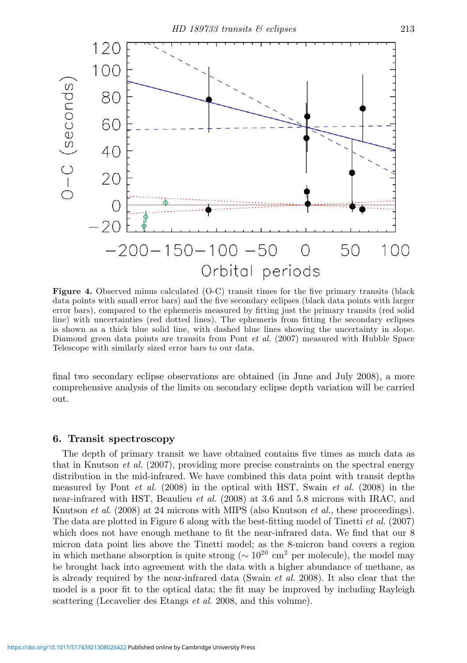

**Figure 4.** Observed minus calculated (O-C) transit times for the five primary transits (black data points with small error bars) and the five secondary eclipses (black data points with larger error bars), compared to the ephemeris measured by fitting just the primary transits (red solid line) with uncertainties (red dotted lines). The ephemeris from fitting the secondary eclipses is shown as a thick blue solid line, with dashed blue lines showing the uncertainty in slope. Diamond green data points are transits from Pont et al. (2007) measured with Hubble Space Telescope with similarly sized error bars to our data.

final two secondary eclipse observations are obtained (in June and July 2008), a more comprehensive analysis of the limits on secondary eclipse depth variation will be carried out.

#### **6. Transit spectroscopy**

The depth of primary transit we have obtained contains five times as much data as that in Knutson *et al.* (2007), providing more precise constraints on the spectral energy distribution in the mid-infrared. We have combined this data point with transit depths measured by Pont *et al.* (2008) in the optical with HST, Swain *et al.* (2008) in the near-infrared with HST, Beaulieu *et al.* (2008) at 3.6 and 5.8 microns with IRAC, and Knutson *et al.* (2008) at 24 microns with MIPS (also Knutson *et al.*, these proceedings). The data are plotted in Figure 6 along with the best-fitting model of Tinetti et al. (2007) which does not have enough methane to fit the near-infrared data. We find that our 8 micron data point lies above the Tinetti model; as the 8-micron band covers a region in which methane absorption is quite strong ( $\sim 10^{20}$  cm<sup>2</sup> per molecule), the model may be brought back into agreement with the data with a higher abundance of methane, as is already required by the near-infrared data (Swain *et al.* 2008). It also clear that the model is a poor fit to the optical data; the fit may be improved by including Rayleigh scattering (Lecavelier des Etangs et al. 2008, and this volume).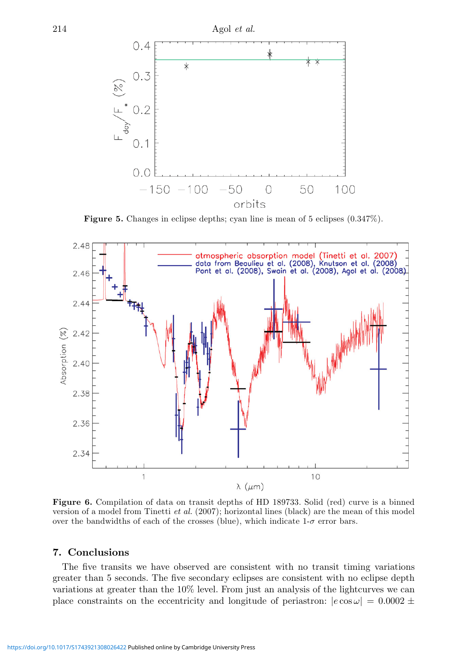

**Figure 5.** Changes in eclipse depths; cyan line is mean of 5 eclipses  $(0.347\%)$ .



**Figure 6.** Compilation of data on transit depths of HD 189733. Solid (red) curve is a binned version of a model from Tinetti et al. (2007); horizontal lines (black) are the mean of this model over the bandwidths of each of the crosses (blue), which indicate  $1-\sigma$  error bars.

# **7. Conclusions**

The five transits we have observed are consistent with no transit timing variations greater than 5 seconds. The five secondary eclipses are consistent with no eclipse depth variations at greater than the 10% level. From just an analysis of the lightcurves we can place constraints on the eccentricity and longitude of periastron:  $|e \cos \omega| = 0.0002 \pm$